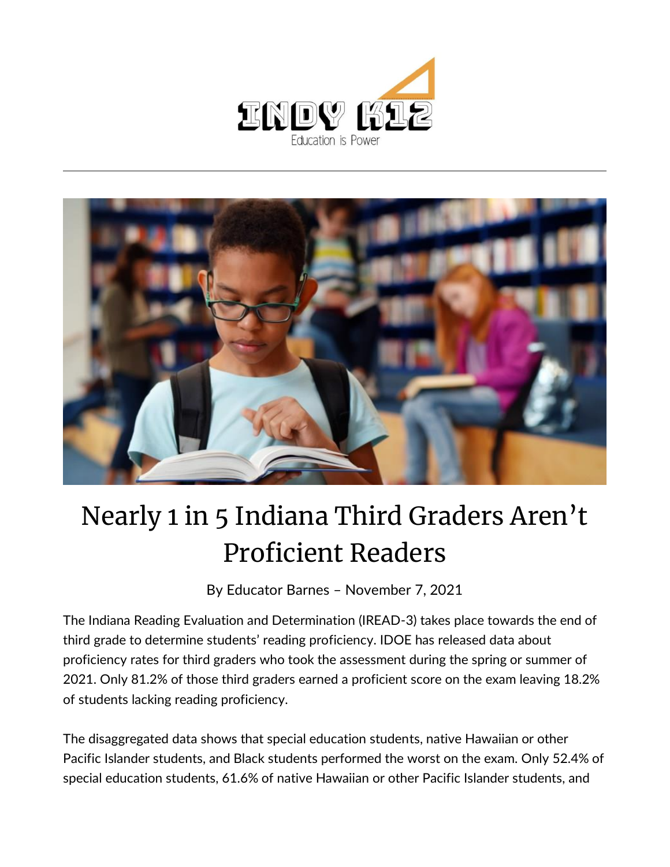



## Nearly 1 in 5 Indiana Third Graders Aren't Proficient Readers

By [Educator Barnes](https://indy.education/author/shicole/) – November 7, 2021

The Indiana Reading Evaluation and Determination (IREAD-3) takes place towards the end of third grade to determine students' reading proficiency. IDOE has released data about proficiency rates for third graders who took the assessment during the spring or summer of 2021. Only 81.2% of those third graders earned a proficient score on the exam leaving 18.2% of students lacking reading proficiency.

The disaggregated data shows that special education students, native Hawaiian or other Pacific Islander students, and Black students performed the worst on the exam. Only 52.4% of special education students, 61.6% of native Hawaiian or other Pacific Islander students, and